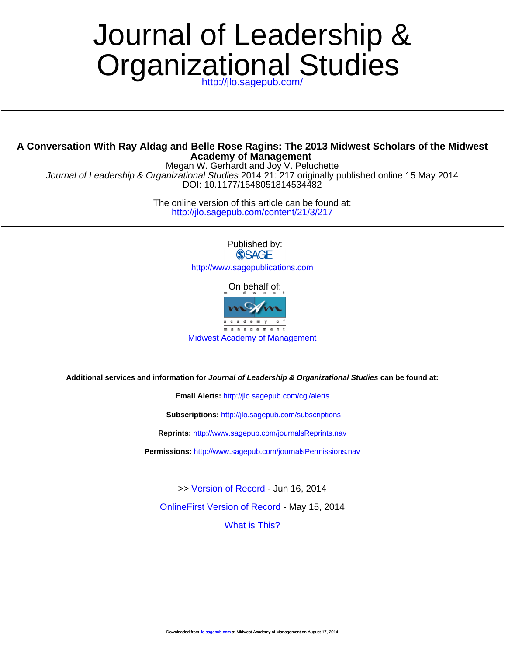# Organizational Studies Journal of Leadership &

# **Academy of Management A Conversation With Ray Aldag and Belle Rose Ragins: The 2013 Midwest Scholars of the Midwest**

DOI: 10.1177/1548051814534482 Journal of Leadership & Organizational Studies 2014 21: 217 originally published online 15 May 2014 Megan W. Gerhardt and Joy V. Peluchette

> <http://jlo.sagepub.com/content/21/3/217> The online version of this article can be found at:

> > Published by: **SSAGE**

<http://www.sagepublications.com>

On behalf of:



[Midwest Academy of Management](http://www.midwestacademy.org/)

**Additional services and information for Journal of Leadership & Organizational Studies can be found at:**

**Email Alerts:** <http://jlo.sagepub.com/cgi/alerts>

**Subscriptions:** <http://jlo.sagepub.com/subscriptions>

**Reprints:** <http://www.sagepub.com/journalsReprints.nav>

**Permissions:** <http://www.sagepub.com/journalsPermissions.nav>

[What is This?](http://online.sagepub.com/site/sphelp/vorhelp.xhtml) [OnlineFirst Version of Record -](http://jlo.sagepub.com/content/early/2014/05/15/1548051814534482.full.pdf) May 15, 2014 >> [Version of Record -](http://jlo.sagepub.com/content/21/3/217.full.pdf) Jun 16, 2014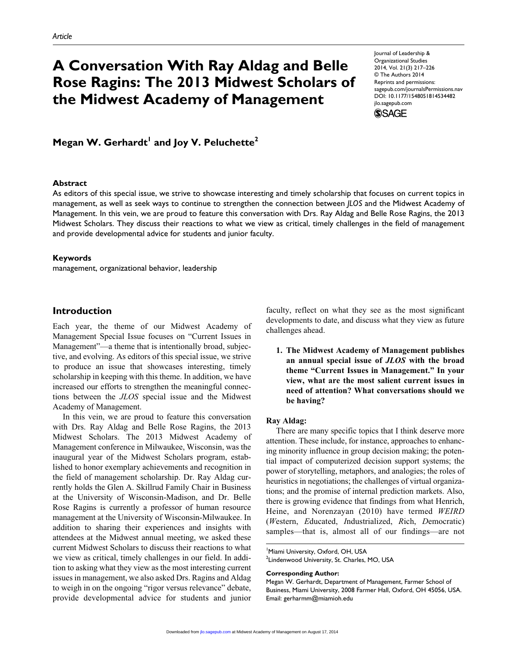# **A Conversation With Ray Aldag and Belle Rose Ragins: The 2013 Midwest Scholars of the Midwest Academy of Management**

Journal of Leadership & Organizational Studies 2014, Vol. 21(3) 217–226 © The Authors 2014 Reprints and permissions: sagepub.com/journalsPermissions.nav DOI: 10.1177/1548051814534482 jlo.sagepub.com **SSAGE** 

<code>Megan</code> W. Gerhardt $^{\mathsf{I}}$  and Joy V. Peluchette $^{\mathsf{2}}$ 

#### **Abstract**

As editors of this special issue, we strive to showcase interesting and timely scholarship that focuses on current topics in management, as well as seek ways to continue to strengthen the connection between *JLOS* and the Midwest Academy of Management. In this vein, we are proud to feature this conversation with Drs. Ray Aldag and Belle Rose Ragins, the 2013 Midwest Scholars. They discuss their reactions to what we view as critical, timely challenges in the field of management and provide developmental advice for students and junior faculty.

# **Keywords**

management, organizational behavior, leadership

# **Introduction**

Each year, the theme of our Midwest Academy of Management Special Issue focuses on "Current Issues in Management"—a theme that is intentionally broad, subjective, and evolving. As editors of this special issue, we strive to produce an issue that showcases interesting, timely scholarship in keeping with this theme. In addition, we have increased our efforts to strengthen the meaningful connections between the *JLOS* special issue and the Midwest Academy of Management.

In this vein, we are proud to feature this conversation with Drs. Ray Aldag and Belle Rose Ragins, the 2013 Midwest Scholars. The 2013 Midwest Academy of Management conference in Milwaukee, Wisconsin, was the inaugural year of the Midwest Scholars program, established to honor exemplary achievements and recognition in the field of management scholarship. Dr. Ray Aldag currently holds the Glen A. Skillrud Family Chair in Business at the University of Wisconsin-Madison, and Dr. Belle Rose Ragins is currently a professor of human resource management at the University of Wisconsin-Milwaukee. In addition to sharing their experiences and insights with attendees at the Midwest annual meeting, we asked these current Midwest Scholars to discuss their reactions to what we view as critical, timely challenges in our field. In addition to asking what they view as the most interesting current issues in management, we also asked Drs. Ragins and Aldag to weigh in on the ongoing "rigor versus relevance" debate, provide developmental advice for students and junior

faculty, reflect on what they see as the most significant developments to date, and discuss what they view as future challenges ahead.

**1. The Midwest Academy of Management publishes an annual special issue of** *JLOS* **with the broad theme "Current Issues in Management." In your view, what are the most salient current issues in need of attention? What conversations should we be having?**

#### **Ray Aldag:**

There are many specific topics that I think deserve more attention. These include, for instance, approaches to enhancing minority influence in group decision making; the potential impact of computerized decision support systems; the power of storytelling, metaphors, and analogies; the roles of heuristics in negotiations; the challenges of virtual organizations; and the promise of internal prediction markets. Also, there is growing evidence that findings from what Henrich, Heine, and Norenzayan (2010) have termed *WEIRD* (*W*estern, *E*ducated, *I*ndustrialized, *R*ich, *D*emocratic) samples—that is, almost all of our findings—are not

1 Miami University, Oxford, OH, USA

 $^2$ Lindenwood University, St. Charles, MO, USA

#### **Corresponding Author:**

Megan W. Gerhardt, Department of Management, Farmer School of Business, Miami University, 2008 Farmer Hall, Oxford, OH 45056, USA. Email: gerharmm@miamioh.edu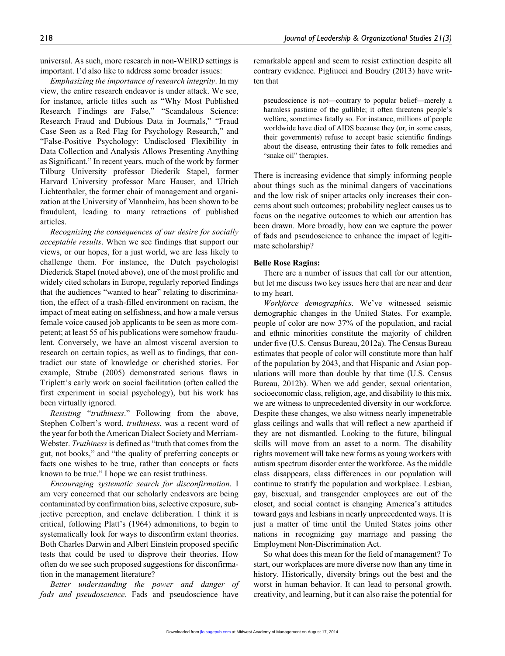universal. As such, more research in non-WEIRD settings is important. I'd also like to address some broader issues:

*Emphasizing the importance of research integrity*. In my view, the entire research endeavor is under attack. We see, for instance, article titles such as "Why Most Published Research Findings are False," "Scandalous Science: Research Fraud and Dubious Data in Journals," "Fraud Case Seen as a Red Flag for Psychology Research," and "False-Positive Psychology: Undisclosed Flexibility in Data Collection and Analysis Allows Presenting Anything as Significant." In recent years, much of the work by former Tilburg University professor Diederik Stapel, former Harvard University professor Marc Hauser, and Ulrich Lichtenthaler, the former chair of management and organization at the University of Mannheim, has been shown to be fraudulent, leading to many retractions of published articles.

*Recognizing the consequences of our desire for socially acceptable results*. When we see findings that support our views, or our hopes, for a just world, we are less likely to challenge them. For instance, the Dutch psychologist Diederick Stapel (noted above), one of the most prolific and widely cited scholars in Europe, regularly reported findings that the audiences "wanted to hear" relating to discrimination, the effect of a trash-filled environment on racism, the impact of meat eating on selfishness, and how a male versus female voice caused job applicants to be seen as more competent; at least 55 of his publications were somehow fraudulent. Conversely, we have an almost visceral aversion to research on certain topics, as well as to findings, that contradict our state of knowledge or cherished stories. For example, Strube (2005) demonstrated serious flaws in Triplett's early work on social facilitation (often called the first experiment in social psychology), but his work has been virtually ignored.

*Resisting* "*truthiness*." Following from the above, Stephen Colbert's word, *truthiness*, was a recent word of the year for both the American Dialect Society and Merriam-Webster. *Truthiness* is defined as "truth that comes from the gut, not books," and "the quality of preferring concepts or facts one wishes to be true, rather than concepts or facts known to be true." I hope we can resist truthiness.

*Encouraging systematic search for disconfirmation*. I am very concerned that our scholarly endeavors are being contaminated by confirmation bias, selective exposure, subjective perception, and enclave deliberation. I think it is critical, following Platt's (1964) admonitions, to begin to systematically look for ways to disconfirm extant theories. Both Charles Darwin and Albert Einstein proposed specific tests that could be used to disprove their theories. How often do we see such proposed suggestions for disconfirmation in the management literature?

*Better understanding the power—and danger—of fads and pseudoscience*. Fads and pseudoscience have

remarkable appeal and seem to resist extinction despite all contrary evidence. Pigliucci and Boudry (2013) have written that

pseudoscience is not—contrary to popular belief—merely a harmless pastime of the gullible; it often threatens people's welfare, sometimes fatally so. For instance, millions of people worldwide have died of AIDS because they (or, in some cases, their governments) refuse to accept basic scientific findings about the disease, entrusting their fates to folk remedies and "snake oil" therapies.

There is increasing evidence that simply informing people about things such as the minimal dangers of vaccinations and the low risk of sniper attacks only increases their concerns about such outcomes; probability neglect causes us to focus on the negative outcomes to which our attention has been drawn. More broadly, how can we capture the power of fads and pseudoscience to enhance the impact of legitimate scholarship?

#### **Belle Rose Ragins:**

There are a number of issues that call for our attention, but let me discuss two key issues here that are near and dear to my heart.

*Workforce demographics.* We've witnessed seismic demographic changes in the United States. For example, people of color are now 37% of the population, and racial and ethnic minorities constitute the majority of children under five (U.S. Census Bureau, 2012a). The Census Bureau estimates that people of color will constitute more than half of the population by 2043, and that Hispanic and Asian populations will more than double by that time (U.S. Census Bureau, 2012b). When we add gender, sexual orientation, socioeconomic class, religion, age, and disability to this mix, we are witness to unprecedented diversity in our workforce. Despite these changes, we also witness nearly impenetrable glass ceilings and walls that will reflect a new apartheid if they are not dismantled. Looking to the future, bilingual skills will move from an asset to a norm. The disability rights movement will take new forms as young workers with autism spectrum disorder enter the workforce. As the middle class disappears, class differences in our population will continue to stratify the population and workplace. Lesbian, gay, bisexual, and transgender employees are out of the closet, and social contact is changing America's attitudes toward gays and lesbians in nearly unprecedented ways. It is just a matter of time until the United States joins other nations in recognizing gay marriage and passing the Employment Non-Discrimination Act.

So what does this mean for the field of management? To start, our workplaces are more diverse now than any time in history. Historically, diversity brings out the best and the worst in human behavior. It can lead to personal growth, creativity, and learning, but it can also raise the potential for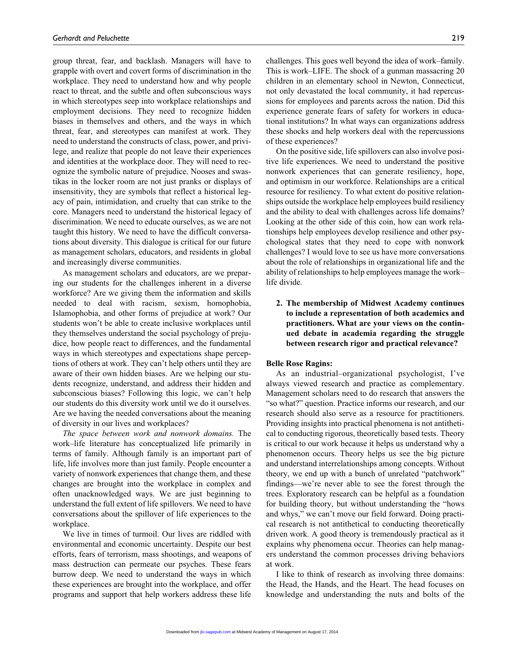group threat, fear, and backlash. Managers will have to grapple with overt and covert forms of discrimination in the workplace. They need to understand how and why people react to threat, and the subtle and often subconscious ways in which stereotypes seep into workplace relationships and employment decisions. They need to recognize hidden biases in themselves and others, and the ways in which threat, fear, and stereotypes can manifest at work. They need to understand the constructs of class, power, and privilege, and realize that people do not leave their experiences and identities at the workplace door. They will need to recognize the symbolic nature of prejudice. Nooses and swastikas in the locker room are not just pranks or displays of insensitivity, they are symbols that reflect a historical legacy of pain, intimidation, and cruelty that can strike to the core. Managers need to understand the historical legacy of discrimination. We need to educate ourselves, as we are not taught this history. We need to have the difficult conversations about diversity. This dialogue is critical for our future as management scholars, educators, and residents in global and increasingly diverse communities.

As management scholars and educators, are we preparing our students for the challenges inherent in a diverse workforce? Are we giving them the information and skills needed to deal with racism, sexism, homophobia, Islamophobia, and other forms of prejudice at work? Our students won't be able to create inclusive workplaces until they themselves understand the social psychology of prejudice, how people react to differences, and the fundamental ways in which stereotypes and expectations shape perceptions of others at work. They can't help others until they are aware of their own hidden biases. Are we helping our students recognize, understand, and address their hidden and subconscious biases? Following this logic, we can't help our students do this diversity work until we do it ourselves. Are we having the needed conversations about the meaning of diversity in our lives and workplaces?

*The space between work and nonwork domains.* The work–life literature has conceptualized life primarily in terms of family. Although family is an important part of life, life involves more than just family. People encounter a variety of nonwork experiences that change them, and these changes are brought into the workplace in complex and often unacknowledged ways. We are just beginning to understand the full extent of life spillovers. We need to have conversations about the spillover of life experiences to the workplace.

We live in times of turmoil. Our lives are riddled with environmental and economic uncertainty. Despite our best efforts, fears of terrorism, mass shootings, and weapons of mass destruction can permeate our psyches. These fears burrow deep. We need to understand the ways in which these experiences are brought into the workplace, and offer programs and support that help workers address these life challenges. This goes well beyond the idea of work–family. This is work–LIFE. The shock of a gunman massacring 20 children in an elementary school in Newton, Connecticut, not only devastated the local community, it had repercussions for employees and parents across the nation. Did this experience generate fears of safety for workers in educational institutions? In what ways can organizations address these shocks and help workers deal with the repercussions of these experiences?

On the positive side, life spillovers can also involve positive life experiences. We need to understand the positive nonwork experiences that can generate resiliency, hope, and optimism in our workforce. Relationships are a critical resource for resiliency. To what extent do positive relationships outside the workplace help employees build resiliency and the ability to deal with challenges across life domains? Looking at the other side of this coin, how can work relationships help employees develop resilience and other psychological states that they need to cope with nonwork challenges? I would love to see us have more conversations about the role of relationships in organizational life and the ability of relationships to help employees manage the work– life divide.

**2. The membership of Midwest Academy continues to include a representation of both academics and practitioners. What are your views on the continued debate in academia regarding the struggle between research rigor and practical relevance?**

#### **Belle Rose Ragins:**

As an industrial–organizational psychologist, I've always viewed research and practice as complementary. Management scholars need to do research that answers the "so what?" question. Practice informs our research, and our research should also serve as a resource for practitioners. Providing insights into practical phenomena is not antithetical to conducting rigorous, theoretically based tests. Theory is critical to our work because it helps us understand why a phenomenon occurs. Theory helps us see the big picture and understand interrelationships among concepts. Without theory, we end up with a bunch of unrelated "patchwork" findings—we're never able to see the forest through the trees. Exploratory research can be helpful as a foundation for building theory, but without understanding the "hows and whys," we can't move our field forward. Doing practical research is not antithetical to conducting theoretically driven work. A good theory is tremendously practical as it explains why phenomena occur. Theories can help managers understand the common processes driving behaviors at work.

I like to think of research as involving three domains: the Head, the Hands, and the Heart. The head focuses on knowledge and understanding the nuts and bolts of the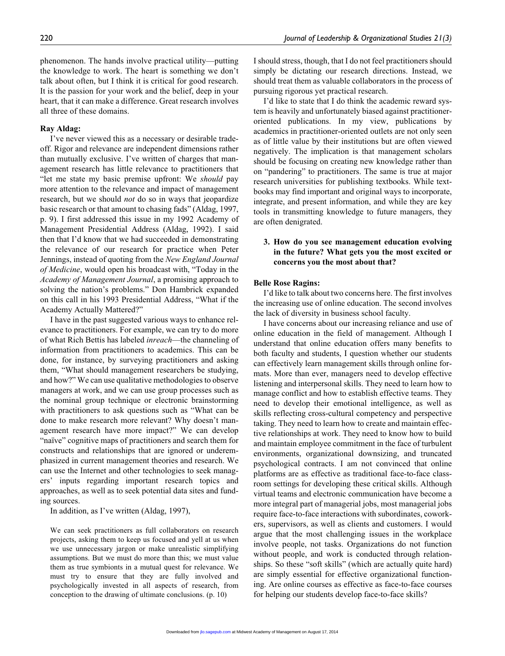phenomenon. The hands involve practical utility—putting the knowledge to work. The heart is something we don't talk about often, but I think it is critical for good research. It is the passion for your work and the belief, deep in your heart, that it can make a difference. Great research involves all three of these domains.

#### **Ray Aldag:**

I've never viewed this as a necessary or desirable tradeoff. Rigor and relevance are independent dimensions rather than mutually exclusive. I've written of charges that management research has little relevance to practitioners that "let me state my basic premise upfront: We *should* pay more attention to the relevance and impact of management research, but we should *not* do so in ways that jeopardize basic research or that amount to chasing fads" (Aldag, 1997, p. 9). I first addressed this issue in my 1992 Academy of Management Presidential Address (Aldag, 1992). I said then that I'd know that we had succeeded in demonstrating the relevance of our research for practice when Peter Jennings, instead of quoting from the *New England Journal of Medicine*, would open his broadcast with, "Today in the *Academy of Management Journal*, a promising approach to solving the nation's problems." Don Hambrick expanded on this call in his 1993 Presidential Address, "What if the Academy Actually Mattered?"

I have in the past suggested various ways to enhance relevance to practitioners. For example, we can try to do more of what Rich Bettis has labeled *inreach*—the channeling of information from practitioners to academics. This can be done, for instance, by surveying practitioners and asking them, "What should management researchers be studying, and how?" We can use qualitative methodologies to observe managers at work, and we can use group processes such as the nominal group technique or electronic brainstorming with practitioners to ask questions such as "What can be done to make research more relevant? Why doesn't management research have more impact?" We can develop "naïve" cognitive maps of practitioners and search them for constructs and relationships that are ignored or underemphasized in current management theories and research. We can use the Internet and other technologies to seek managers' inputs regarding important research topics and approaches, as well as to seek potential data sites and funding sources.

In addition, as I've written (Aldag, 1997),

We can seek practitioners as full collaborators on research projects, asking them to keep us focused and yell at us when we use unnecessary jargon or make unrealistic simplifying assumptions. But we must do more than this; we must value them as true symbionts in a mutual quest for relevance. We must try to ensure that they are fully involved and psychologically invested in all aspects of research, from conception to the drawing of ultimate conclusions. (p. 10)

I should stress, though, that I do not feel practitioners should simply be dictating our research directions. Instead, we should treat them as valuable collaborators in the process of pursuing rigorous yet practical research.

I'd like to state that I do think the academic reward system is heavily and unfortunately biased against practitioneroriented publications. In my view, publications by academics in practitioner-oriented outlets are not only seen as of little value by their institutions but are often viewed negatively. The implication is that management scholars should be focusing on creating new knowledge rather than on "pandering" to practitioners. The same is true at major research universities for publishing textbooks. While textbooks may find important and original ways to incorporate, integrate, and present information, and while they are key tools in transmitting knowledge to future managers, they are often denigrated.

# **3. How do you see management education evolving in the future? What gets you the most excited or concerns you the most about that?**

#### **Belle Rose Ragins:**

I'd like to talk about two concerns here. The first involves the increasing use of online education. The second involves the lack of diversity in business school faculty.

I have concerns about our increasing reliance and use of online education in the field of management. Although I understand that online education offers many benefits to both faculty and students, I question whether our students can effectively learn management skills through online formats. More than ever, managers need to develop effective listening and interpersonal skills. They need to learn how to manage conflict and how to establish effective teams. They need to develop their emotional intelligence, as well as skills reflecting cross-cultural competency and perspective taking. They need to learn how to create and maintain effective relationships at work. They need to know how to build and maintain employee commitment in the face of turbulent environments, organizational downsizing, and truncated psychological contracts. I am not convinced that online platforms are as effective as traditional face-to-face classroom settings for developing these critical skills. Although virtual teams and electronic communication have become a more integral part of managerial jobs, most managerial jobs require face-to-face interactions with subordinates, coworkers, supervisors, as well as clients and customers. I would argue that the most challenging issues in the workplace involve people, not tasks. Organizations do not function without people, and work is conducted through relationships. So these "soft skills" (which are actually quite hard) are simply essential for effective organizational functioning. Are online courses as effective as face-to-face courses for helping our students develop face-to-face skills?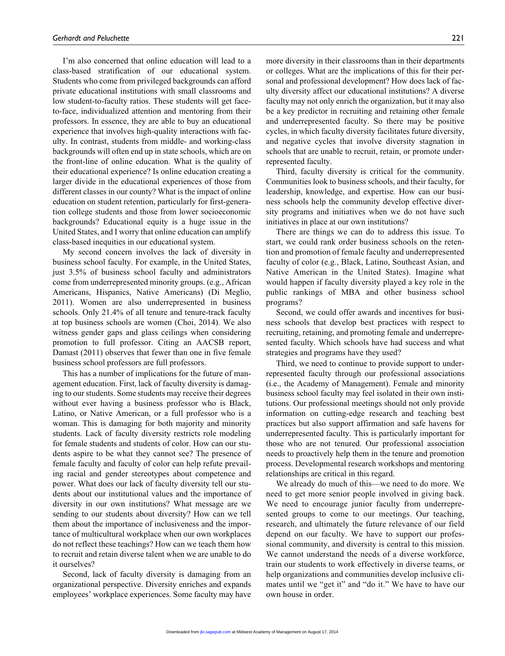I'm also concerned that online education will lead to a class-based stratification of our educational system. Students who come from privileged backgrounds can afford private educational institutions with small classrooms and low student-to-faculty ratios. These students will get faceto-face, individualized attention and mentoring from their professors. In essence, they are able to buy an educational experience that involves high-quality interactions with faculty. In contrast, students from middle- and working-class backgrounds will often end up in state schools, which are on the front-line of online education. What is the quality of their educational experience? Is online education creating a larger divide in the educational experiences of those from different classes in our county? What is the impact of online education on student retention, particularly for first-generation college students and those from lower socioeconomic backgrounds? Educational equity is a huge issue in the United States, and I worry that online education can amplify class-based inequities in our educational system.

My second concern involves the lack of diversity in business school faculty. For example, in the United States, just 3.5% of business school faculty and administrators come from underrepresented minority groups. (e.g., African Americans, Hispanics, Native Americans) (Di Meglio, 2011). Women are also underrepresented in business schools. Only 21.4% of all tenure and tenure-track faculty at top business schools are women (Choi, 2014). We also witness gender gaps and glass ceilings when considering promotion to full professor. Citing an AACSB report, Damast (2011) observes that fewer than one in five female business school professors are full professors.

This has a number of implications for the future of management education. First, lack of faculty diversity is damaging to our students. Some students may receive their degrees without ever having a business professor who is Black, Latino, or Native American, or a full professor who is a woman. This is damaging for both majority and minority students. Lack of faculty diversity restricts role modeling for female students and students of color. How can our students aspire to be what they cannot see? The presence of female faculty and faculty of color can help refute prevailing racial and gender stereotypes about competence and power. What does our lack of faculty diversity tell our students about our institutional values and the importance of diversity in our own institutions? What message are we sending to our students about diversity? How can we tell them about the importance of inclusiveness and the importance of multicultural workplace when our own workplaces do not reflect these teachings? How can we teach them how to recruit and retain diverse talent when we are unable to do it ourselves?

Second, lack of faculty diversity is damaging from an organizational perspective. Diversity enriches and expands employees' workplace experiences. Some faculty may have more diversity in their classrooms than in their departments or colleges. What are the implications of this for their personal and professional development? How does lack of faculty diversity affect our educational institutions? A diverse faculty may not only enrich the organization, but it may also be a key predictor in recruiting and retaining other female and underrepresented faculty. So there may be positive cycles, in which faculty diversity facilitates future diversity, and negative cycles that involve diversity stagnation in schools that are unable to recruit, retain, or promote underrepresented faculty.

Third, faculty diversity is critical for the community. Communities look to business schools, and their faculty, for leadership, knowledge, and expertise. How can our business schools help the community develop effective diversity programs and initiatives when we do not have such initiatives in place at our own institutions?

There are things we can do to address this issue. To start, we could rank order business schools on the retention and promotion of female faculty and underrepresented faculty of color (e.g., Black, Latino, Southeast Asian, and Native American in the United States). Imagine what would happen if faculty diversity played a key role in the public rankings of MBA and other business school programs?

Second, we could offer awards and incentives for business schools that develop best practices with respect to recruiting, retaining, and promoting female and underrepresented faculty. Which schools have had success and what strategies and programs have they used?

Third, we need to continue to provide support to underrepresented faculty through our professional associations (i.e., the Academy of Management). Female and minority business school faculty may feel isolated in their own institutions. Our professional meetings should not only provide information on cutting-edge research and teaching best practices but also support affirmation and safe havens for underrepresented faculty. This is particularly important for those who are not tenured. Our professional association needs to proactively help them in the tenure and promotion process. Developmental research workshops and mentoring relationships are critical in this regard.

We already do much of this—we need to do more. We need to get more senior people involved in giving back. We need to encourage junior faculty from underrepresented groups to come to our meetings. Our teaching, research, and ultimately the future relevance of our field depend on our faculty. We have to support our professional community, and diversity is central to this mission. We cannot understand the needs of a diverse workforce, train our students to work effectively in diverse teams, or help organizations and communities develop inclusive climates until we "get it" and "do it." We have to have our own house in order.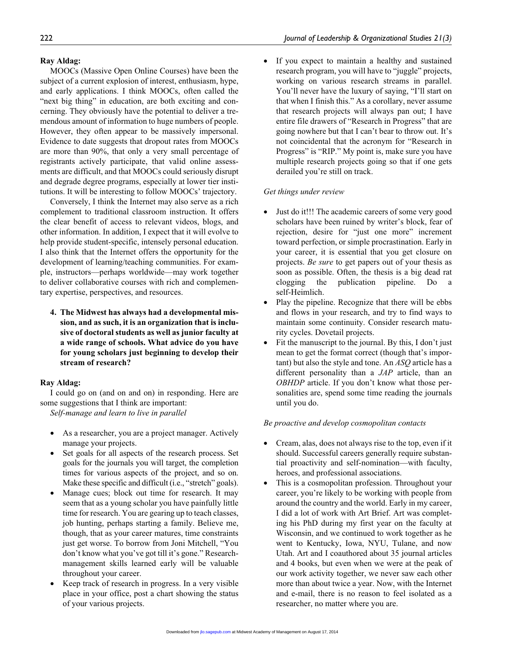# **Ray Aldag:**

MOOCs (Massive Open Online Courses) have been the subject of a current explosion of interest, enthusiasm, hype, and early applications. I think MOOCs, often called the "next big thing" in education, are both exciting and concerning. They obviously have the potential to deliver a tremendous amount of information to huge numbers of people. However, they often appear to be massively impersonal. Evidence to date suggests that dropout rates from MOOCs are more than 90%, that only a very small percentage of registrants actively participate, that valid online assessments are difficult, and that MOOCs could seriously disrupt and degrade degree programs, especially at lower tier institutions. It will be interesting to follow MOOCs' trajectory.

Conversely, I think the Internet may also serve as a rich complement to traditional classroom instruction. It offers the clear benefit of access to relevant videos, blogs, and other information. In addition, I expect that it will evolve to help provide student-specific, intensely personal education. I also think that the Internet offers the opportunity for the development of learning/teaching communities. For example, instructors—perhaps worldwide—may work together to deliver collaborative courses with rich and complementary expertise, perspectives, and resources.

**4. The Midwest has always had a developmental mission, and as such, it is an organization that is inclusive of doctoral students as well as junior faculty at a wide range of schools. What advice do you have for young scholars just beginning to develop their stream of research?**

# **Ray Aldag:**

I could go on (and on and on) in responding. Here are some suggestions that I think are important:

*Self-manage and learn to live in parallel*

- As a researcher, you are a project manager. Actively manage your projects.
- Set goals for all aspects of the research process. Set goals for the journals you will target, the completion times for various aspects of the project, and so on. Make these specific and difficult (i.e., "stretch" goals).
- Manage cues; block out time for research. It may seem that as a young scholar you have painfully little time for research. You are gearing up to teach classes, job hunting, perhaps starting a family. Believe me, though, that as your career matures, time constraints just get worse. To borrow from Joni Mitchell, "You don't know what you've got till it's gone." Researchmanagement skills learned early will be valuable throughout your career.
- Keep track of research in progress. In a very visible place in your office, post a chart showing the status of your various projects.

• If you expect to maintain a healthy and sustained research program, you will have to "juggle" projects, working on various research streams in parallel. You'll never have the luxury of saying, "I'll start on that when I finish this." As a corollary, never assume that research projects will always pan out; I have entire file drawers of "Research in Progress" that are going nowhere but that I can't bear to throw out. It's not coincidental that the acronym for "Research in Progress" is "RIP." My point is, make sure you have multiple research projects going so that if one gets derailed you're still on track.

# *Get things under review*

- Just do it!!! The academic careers of some very good scholars have been ruined by writer's block, fear of rejection, desire for "just one more" increment toward perfection, or simple procrastination. Early in your career, it is essential that you get closure on projects. *Be sure* to get papers out of your thesis as soon as possible. Often, the thesis is a big dead rat clogging the publication pipeline. Do a self-Heimlich.
- Play the pipeline. Recognize that there will be ebbs and flows in your research, and try to find ways to maintain some continuity. Consider research maturity cycles. Dovetail projects.
- Fit the manuscript to the journal. By this, I don't just mean to get the format correct (though that's important) but also the style and tone. An *ASQ* article has a different personality than a *JAP* article, than an *OBHDP* article. If you don't know what those personalities are, spend some time reading the journals until you do.

#### *Be proactive and develop cosmopolitan contacts*

- Cream, alas, does not always rise to the top, even if it should. Successful careers generally require substantial proactivity and self-nomination—with faculty, heroes, and professional associations.
- This is a cosmopolitan profession. Throughout your career, you're likely to be working with people from around the country and the world. Early in my career, I did a lot of work with Art Brief. Art was completing his PhD during my first year on the faculty at Wisconsin, and we continued to work together as he went to Kentucky, Iowa, NYU, Tulane, and now Utah. Art and I coauthored about 35 journal articles and 4 books, but even when we were at the peak of our work activity together, we never saw each other more than about twice a year. Now, with the Internet and e-mail, there is no reason to feel isolated as a researcher, no matter where you are.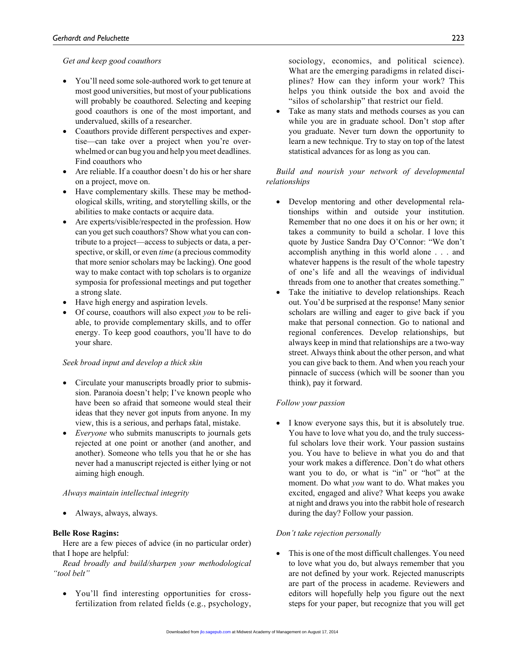# *Get and keep good coauthors*

- •• You'll need some sole-authored work to get tenure at most good universities, but most of your publications will probably be coauthored. Selecting and keeping good coauthors is one of the most important, and undervalued, skills of a researcher.
- Coauthors provide different perspectives and expertise—can take over a project when you're overwhelmed or can bug you and help you meet deadlines. Find coauthors who
- Are reliable. If a coauthor doesn't do his or her share on a project, move on.
- Have complementary skills. These may be methodological skills, writing, and storytelling skills, or the abilities to make contacts or acquire data.
- Are experts/visible/respected in the profession. How can you get such coauthors? Show what you can contribute to a project—access to subjects or data, a perspective, or skill, or even *time* (a precious commodity that more senior scholars may be lacking). One good way to make contact with top scholars is to organize symposia for professional meetings and put together a strong slate.
- Have high energy and aspiration levels.
- •• Of course, coauthors will also expect *you* to be reliable, to provide complementary skills, and to offer energy. To keep good coauthors, you'll have to do your share.

# *Seek broad input and develop a thick skin*

- Circulate your manuscripts broadly prior to submission. Paranoia doesn't help; I've known people who have been so afraid that someone would steal their ideas that they never got inputs from anyone. In my view, this is a serious, and perhaps fatal, mistake.
- •• *Everyone* who submits manuscripts to journals gets rejected at one point or another (and another, and another). Someone who tells you that he or she has never had a manuscript rejected is either lying or not aiming high enough.

# *Always maintain intellectual integrity*

•• Always, always, always.

# **Belle Rose Ragins:**

Here are a few pieces of advice (in no particular order) that I hope are helpful:

*Read broadly and build/sharpen your methodological "tool belt"*

• You'll find interesting opportunities for crossfertilization from related fields (e.g., psychology, sociology, economics, and political science). What are the emerging paradigms in related disciplines? How can they inform your work? This helps you think outside the box and avoid the "silos of scholarship" that restrict our field.

• Take as many stats and methods courses as you can while you are in graduate school. Don't stop after you graduate. Never turn down the opportunity to learn a new technique. Try to stay on top of the latest statistical advances for as long as you can.

# *Build and nourish your network of developmental relationships*

- •• Develop mentoring and other developmental relationships within and outside your institution. Remember that no one does it on his or her own; it takes a community to build a scholar. I love this quote by Justice Sandra Day O'Connor: "We don't accomplish anything in this world alone . . . and whatever happens is the result of the whole tapestry of one's life and all the weavings of individual threads from one to another that creates something."
- Take the initiative to develop relationships. Reach out. You'd be surprised at the response! Many senior scholars are willing and eager to give back if you make that personal connection. Go to national and regional conferences. Develop relationships, but always keep in mind that relationships are a two-way street. Always think about the other person, and what you can give back to them. And when you reach your pinnacle of success (which will be sooner than you think), pay it forward.

# *Follow your passion*

I know everyone says this, but it is absolutely true. You have to love what you do, and the truly successful scholars love their work. Your passion sustains you. You have to believe in what you do and that your work makes a difference. Don't do what others want you to do, or what is "in" or "hot" at the moment. Do what *you* want to do. What makes you excited, engaged and alive? What keeps you awake at night and draws you into the rabbit hole of research during the day? Follow your passion.

# *Don't take rejection personally*

This is one of the most difficult challenges. You need to love what you do, but always remember that you are not defined by your work. Rejected manuscripts are part of the process in academe. Reviewers and editors will hopefully help you figure out the next steps for your paper, but recognize that you will get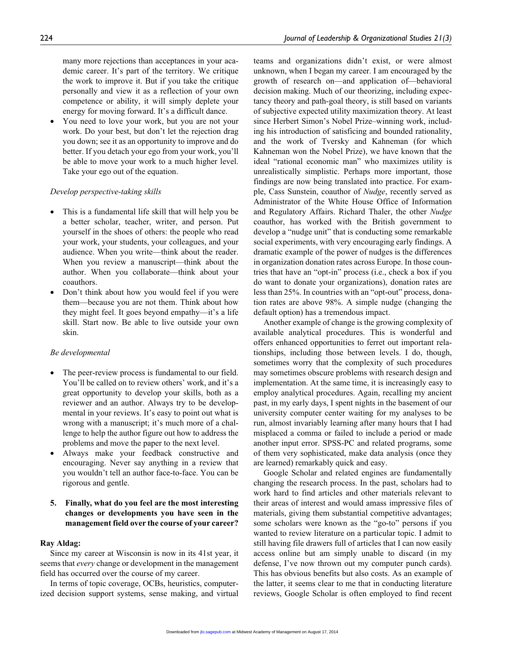many more rejections than acceptances in your academic career. It's part of the territory. We critique the work to improve it. But if you take the critique personally and view it as a reflection of your own competence or ability, it will simply deplete your energy for moving forward. It's a difficult dance.

You need to love your work, but you are not your work. Do your best, but don't let the rejection drag you down; see it as an opportunity to improve and do better. If you detach your ego from your work, you'll be able to move your work to a much higher level. Take your ego out of the equation.

#### *Develop perspective-taking skills*

- This is a fundamental life skill that will help you be a better scholar, teacher, writer, and person. Put yourself in the shoes of others: the people who read your work, your students, your colleagues, and your audience. When you write—think about the reader. When you review a manuscript—think about the author. When you collaborate—think about your coauthors.
- Don't think about how you would feel if you were them—because you are not them. Think about how they might feel. It goes beyond empathy—it's a life skill. Start now. Be able to live outside your own skin.

#### *Be developmental*

- The peer-review process is fundamental to our field. You'll be called on to review others' work, and it's a great opportunity to develop your skills, both as a reviewer and an author. Always try to be developmental in your reviews. It's easy to point out what is wrong with a manuscript; it's much more of a challenge to help the author figure out how to address the problems and move the paper to the next level.
- Always make your feedback constructive and encouraging. Never say anything in a review that you wouldn't tell an author face-to-face. You can be rigorous and gentle.

# **5. Finally, what do you feel are the most interesting changes or developments you have seen in the management field over the course of your career?**

#### **Ray Aldag:**

Since my career at Wisconsin is now in its 41st year, it seems that *every* change or development in the management field has occurred over the course of my career.

In terms of topic coverage, OCBs, heuristics, computerized decision support systems, sense making, and virtual

teams and organizations didn't exist, or were almost unknown, when I began my career. I am encouraged by the growth of research on—and application of—behavioral decision making. Much of our theorizing, including expectancy theory and path-goal theory, is still based on variants of subjective expected utility maximization theory. At least since Herbert Simon's Nobel Prize–winning work, including his introduction of satisficing and bounded rationality, and the work of Tversky and Kahneman (for which Kahneman won the Nobel Prize), we have known that the ideal "rational economic man" who maximizes utility is unrealistically simplistic. Perhaps more important, those findings are now being translated into practice. For example, Cass Sunstein, coauthor of *Nudge*, recently served as Administrator of the White House Office of Information and Regulatory Affairs. Richard Thaler, the other *Nudge* coauthor, has worked with the British government to develop a "nudge unit" that is conducting some remarkable social experiments, with very encouraging early findings. A dramatic example of the power of nudges is the differences in organization donation rates across Europe. In those countries that have an "opt-in" process (i.e., check a box if you do want to donate your organizations), donation rates are less than 25%. In countries with an "opt-out" process, donation rates are above 98%. A simple nudge (changing the default option) has a tremendous impact.

Another example of change is the growing complexity of available analytical procedures. This is wonderful and offers enhanced opportunities to ferret out important relationships, including those between levels. I do, though, sometimes worry that the complexity of such procedures may sometimes obscure problems with research design and implementation. At the same time, it is increasingly easy to employ analytical procedures. Again, recalling my ancient past, in my early days, I spent nights in the basement of our university computer center waiting for my analyses to be run, almost invariably learning after many hours that I had misplaced a comma or failed to include a period or made another input error. SPSS-PC and related programs, some of them very sophisticated, make data analysis (once they are learned) remarkably quick and easy.

Google Scholar and related engines are fundamentally changing the research process. In the past, scholars had to work hard to find articles and other materials relevant to their areas of interest and would amass impressive files of materials, giving them substantial competitive advantages; some scholars were known as the "go-to" persons if you wanted to review literature on a particular topic. I admit to still having file drawers full of articles that I can now easily access online but am simply unable to discard (in my defense, I've now thrown out my computer punch cards). This has obvious benefits but also costs. As an example of the latter, it seems clear to me that in conducting literature reviews, Google Scholar is often employed to find recent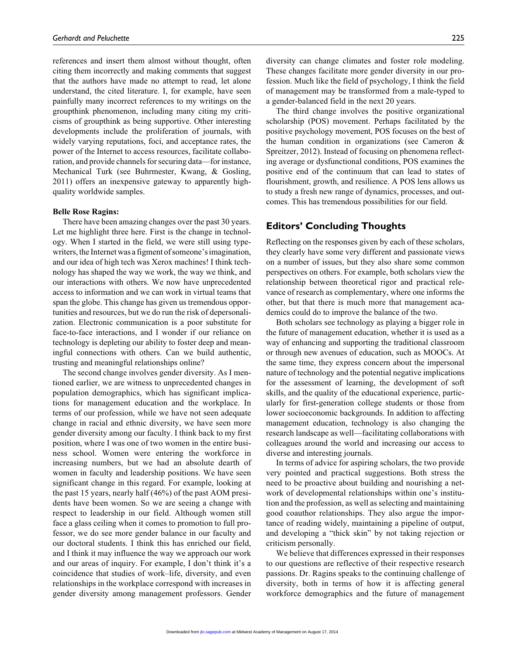references and insert them almost without thought, often citing them incorrectly and making comments that suggest that the authors have made no attempt to read, let alone understand, the cited literature. I, for example, have seen painfully many incorrect references to my writings on the groupthink phenomenon, including many citing my criticisms of groupthink as being supportive. Other interesting developments include the proliferation of journals, with widely varying reputations, foci, and acceptance rates, the power of the Internet to access resources, facilitate collaboration, and provide channels for securing data—for instance, Mechanical Turk (see Buhrmester, Kwang, & Gosling, 2011) offers an inexpensive gateway to apparently highquality worldwide samples.

#### **Belle Rose Ragins:**

There have been amazing changes over the past 30 years. Let me highlight three here. First is the change in technology. When I started in the field, we were still using typewriters, the Internet was a figment of someone's imagination, and our idea of high tech was Xerox machines! I think technology has shaped the way we work, the way we think, and our interactions with others. We now have unprecedented access to information and we can work in virtual teams that span the globe. This change has given us tremendous opportunities and resources, but we do run the risk of depersonalization. Electronic communication is a poor substitute for face-to-face interactions, and I wonder if our reliance on technology is depleting our ability to foster deep and meaningful connections with others. Can we build authentic, trusting and meaningful relationships online?

The second change involves gender diversity. As I mentioned earlier, we are witness to unprecedented changes in population demographics, which has significant implications for management education and the workplace. In terms of our profession, while we have not seen adequate change in racial and ethnic diversity, we have seen more gender diversity among our faculty. I think back to my first position, where I was one of two women in the entire business school. Women were entering the workforce in increasing numbers, but we had an absolute dearth of women in faculty and leadership positions. We have seen significant change in this regard. For example, looking at the past 15 years, nearly half (46%) of the past AOM presidents have been women. So we are seeing a change with respect to leadership in our field. Although women still face a glass ceiling when it comes to promotion to full professor, we do see more gender balance in our faculty and our doctoral students. I think this has enriched our field, and I think it may influence the way we approach our work and our areas of inquiry. For example, I don't think it's a coincidence that studies of work–life, diversity, and even relationships in the workplace correspond with increases in gender diversity among management professors. Gender

diversity can change climates and foster role modeling. These changes facilitate more gender diversity in our profession. Much like the field of psychology, I think the field of management may be transformed from a male-typed to a gender-balanced field in the next 20 years.

The third change involves the positive organizational scholarship (POS) movement. Perhaps facilitated by the positive psychology movement, POS focuses on the best of the human condition in organizations (see Cameron & Spreitzer, 2012). Instead of focusing on phenomena reflecting average or dysfunctional conditions, POS examines the positive end of the continuum that can lead to states of flourishment, growth, and resilience. A POS lens allows us to study a fresh new range of dynamics, processes, and outcomes. This has tremendous possibilities for our field.

# **Editors' Concluding Thoughts**

Reflecting on the responses given by each of these scholars, they clearly have some very different and passionate views on a number of issues, but they also share some common perspectives on others. For example, both scholars view the relationship between theoretical rigor and practical relevance of research as complementary, where one informs the other, but that there is much more that management academics could do to improve the balance of the two.

Both scholars see technology as playing a bigger role in the future of management education, whether it is used as a way of enhancing and supporting the traditional classroom or through new avenues of education, such as MOOCs. At the same time, they express concern about the impersonal nature of technology and the potential negative implications for the assessment of learning, the development of soft skills, and the quality of the educational experience, particularly for first-generation college students or those from lower socioeconomic backgrounds. In addition to affecting management education, technology is also changing the research landscape as well—facilitating collaborations with colleagues around the world and increasing our access to diverse and interesting journals.

In terms of advice for aspiring scholars, the two provide very pointed and practical suggestions. Both stress the need to be proactive about building and nourishing a network of developmental relationships within one's institution and the profession, as well as selecting and maintaining good coauthor relationships. They also argue the importance of reading widely, maintaining a pipeline of output, and developing a "thick skin" by not taking rejection or criticism personally.

We believe that differences expressed in their responses to our questions are reflective of their respective research passions. Dr. Ragins speaks to the continuing challenge of diversity, both in terms of how it is affecting general workforce demographics and the future of management